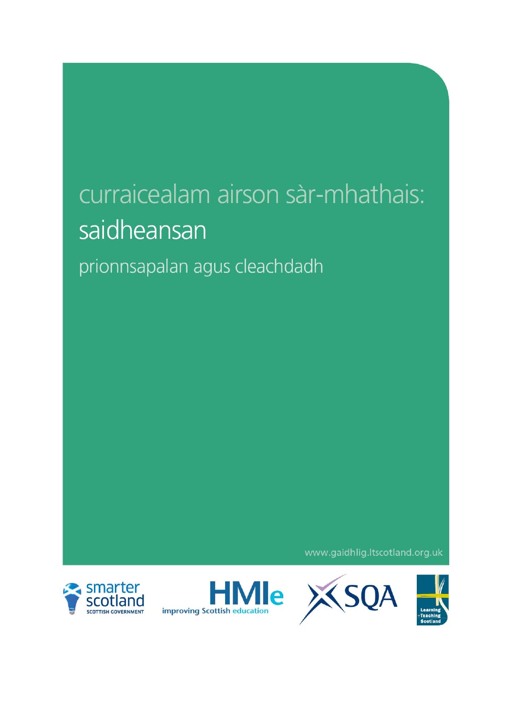# curraicealam airson sàr-mhathais: saidheansan

prionnsapalan agus cleachdadh

www.gaidhlig.ltscotland.org.uk







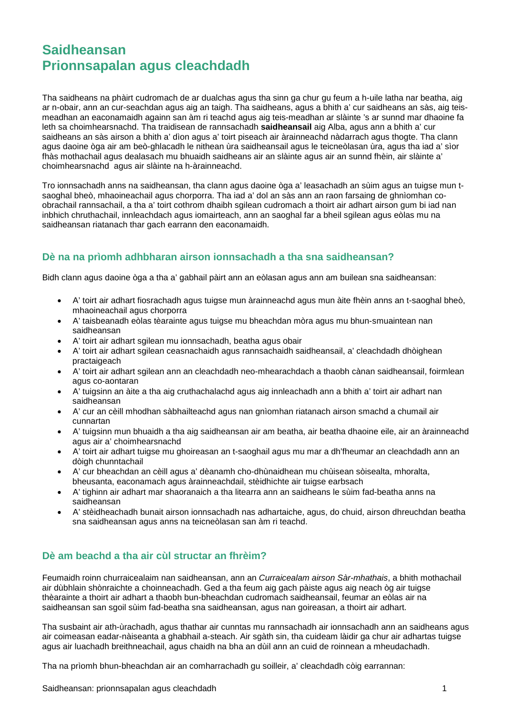# **Saidheansan Prionnsapalan agus cleachdadh**

Tha saidheans na phàirt cudromach de ar dualchas agus tha sinn ga chur gu feum a h-uile latha nar beatha, aig ar n-obair, ann an cur-seachdan agus aig an taigh. Tha saidheans, agus a bhith a' cur saidheans an sàs, aig teismeadhan an eaconamaidh againn san àm ri teachd agus aig teis-meadhan ar slàinte 's ar sunnd mar dhaoine fa leth sa choimhearsnachd. Tha traidisean de rannsachadh **saidheansail** aig Alba, agus ann a bhith a' cur saidheans an sàs airson a bhith a' dìon agus a' toirt piseach air àrainneachd nàdarrach agus thogte. Tha clann agus daoine òga air am beò-ghlacadh le nithean ùra saidheansail agus le teicneòlasan ùra, agus tha iad a' sìor fhàs mothachail agus dealasach mu bhuaidh saidheans air an slàinte agus air an sunnd fhèin, air slàinte a' choimhearsnachd agus air slàinte na h-àrainneachd.

Tro ionnsachadh anns na saidheansan, tha clann agus daoine òga a' leasachadh an sùim agus an tuigse mun tsaoghal bheò, mhaoineachail agus chorporra. Tha iad a' dol an sàs ann an raon farsaing de ghnìomhan coobrachail rannsachail, a tha a' toirt cothrom dhaibh sgilean cudromach a thoirt air adhart airson gum bi iad nan inbhich chruthachail, innleachdach agus iomairteach, ann an saoghal far a bheil sgilean agus eòlas mu na saidheansan riatanach thar gach earrann den eaconamaidh.

### **Dè na na prìomh adhbharan airson ionnsachadh a tha sna saidheansan?**

Bidh clann agus daoine òga a tha a' gabhail pàirt ann an eòlasan agus ann am builean sna saidheansan:

- A' toirt air adhart fiosrachadh agus tuigse mun àrainneachd agus mun àite fhèin anns an t-saoghal bheò, mhaoineachail agus chorporra
- A' taisbeanadh eòlas tèarainte agus tuigse mu bheachdan mòra agus mu bhun-smuaintean nan saidheansan
- A' toirt air adhart sgilean mu ionnsachadh, beatha agus obair
- A' toirt air adhart sgilean ceasnachaidh agus rannsachaidh saidheansail, a' cleachdadh dhòighean practaigeach
- A' toirt air adhart sgilean ann an cleachdadh neo-mhearachdach a thaobh cànan saidheansail, foirmlean agus co-aontaran
- A' tuigsinn an àite a tha aig cruthachalachd agus aig innleachadh ann a bhith a' toirt air adhart nan saidheansan
- A' cur an cèill mhodhan sàbhailteachd agus nan gnìomhan riatanach airson smachd a chumail air cunnartan
- A' tuigsinn mun bhuaidh a tha aig saidheansan air am beatha, air beatha dhaoine eile, air an àrainneachd agus air a' choimhearsnachd
- A' toirt air adhart tuigse mu ghoireasan an t-saoghail agus mu mar a dh'fheumar an cleachdadh ann an dòigh chunntachail
- A' cur bheachdan an cèill agus a' dèanamh cho-dhùnaidhean mu chùisean sòisealta, mhoralta, bheusanta, eaconamach agus àrainneachdail, stèidhichte air tuigse earbsach
- A' tighinn air adhart mar shaoranaich a tha litearra ann an saidheans le sùim fad-beatha anns na saidheansan
- A' stèidheachadh bunait airson ionnsachadh nas adhartaiche, agus, do chuid, airson dhreuchdan beatha sna saidheansan agus anns na teicneòlasan san àm ri teachd.

#### **Dè am beachd a tha air cùl structar an fhrèim?**

Feumaidh roinn churraicealaim nan saidheansan, ann an *Curraicealam airson Sàr-mhathais*, a bhith mothachail air dùbhlain shònraichte a choinneachadh. Ged a tha feum aig gach pàiste agus aig neach òg air tuigse thèarainte a thoirt air adhart a thaobh bun-bheachdan cudromach saidheansail, feumar an eòlas air na saidheansan san sgoil sùim fad-beatha sna saidheansan, agus nan goireasan, a thoirt air adhart.

Tha susbaint air ath-ùrachadh, agus thathar air cunntas mu rannsachadh air ionnsachadh ann an saidheans agus air coimeasan eadar-nàiseanta a ghabhail a-steach. Air sgàth sin, tha cuideam làidir ga chur air adhartas tuigse agus air luachadh breithneachail, agus chaidh na bha an dùil ann an cuid de roinnean a mheudachadh.

Tha na prìomh bhun-bheachdan air an comharrachadh gu soilleir, a' cleachdadh còig earrannan: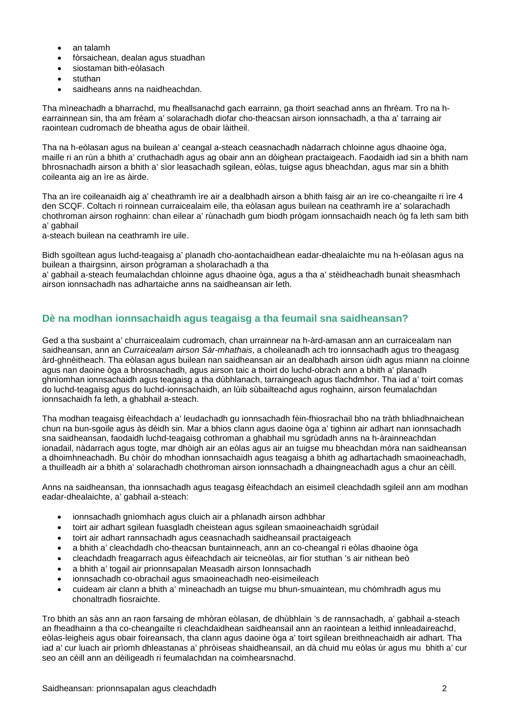- an talamh
- fòrsaichean, dealan agus stuadhan
- siostaman bith-eòlasach
- stuthan
- saidheans anns na naidheachdan.

Tha mìneachadh a bharrachd, mu fheallsanachd gach earrainn, ga thoirt seachad anns an fhrèam. Tro na hearrainnean sin, tha am frèam a' solarachadh diofar cho-theacsan airson ionnsachadh, a tha a' tarraing air raointean cudromach de bheatha agus de obair làitheil.

Tha na h-eòlasan agus na builean a' ceangal a-steach ceasnachadh nàdarrach chloinne agus dhaoine òga, maille ri an rùn a bhith a' cruthachadh agus ag obair ann an dòighean practaigeach. Faodaidh iad sin a bhith nam bhrosnachadh airson a bhith a' sìor leasachadh sgilean, eòlas, tuigse agus bheachdan, agus mar sin a bhith coileanta aig an ìre as àirde.

Tha an ìre coileanaidh aig a' cheathramh ìre air a dealbhadh airson a bhith faisg air an ìre co-cheangailte ri ìre 4 den SCQF. Coltach ri roinnean curraicealaim eile, tha eòlasan agus builean na ceathramh ìre a' solarachadh chothroman airson roghainn: chan eilear a' rùnachadh gum biodh prògam ionnsachaidh neach òg fa leth sam bith a' gabhail

a-steach builean na ceathramh ìre uile.

Bidh sgoiltean agus luchd-teagaisg a' planadh cho-aontachaidhean eadar-dhealaichte mu na h-eòlasan agus na builean a thairgsinn, airson prògraman a sholarachadh a tha

a' gabhail a-steach feumalachdan chloinne agus dhaoine òga, agus a tha a' stèidheachadh bunait sheasmhach airson ionnsachadh nas adhartaiche anns na saidheansan air leth.

## **Dè na modhan ionnsachaidh agus teagaisg a tha feumail sna saidheansan?**

Ged a tha susbaint a' churraicealaim cudromach, chan urrainnear na h-àrd-amasan ann an curraicealam nan saidheansan, ann an *Curraicealam airson Sàr-mhathais*, a choileanadh ach tro ionnsachadh agus tro theagasg àrd-ghnèitheach. Tha eòlasan agus builean nan saidheansan air an dealbhadh airson ùidh agus miann na cloinne agus nan daoine òga a bhrosnachadh, agus airson taic a thoirt do luchd-obrach ann a bhith a' planadh ghnìomhan ionnsachaidh agus teagaisg a tha dùbhlanach, tarraingeach agus tlachdmhor. Tha iad a' toirt comas do luchd-teagaisg agus do luchd-ionnsachaidh, an lùib sùbailteachd agus roghainn, airson feumalachdan ionnsachaidh fa leth, a ghabhail a-steach.

Tha modhan teagaisg èifeachdach a' leudachadh gu ionnsachadh fèin-fhiosrachail bho na tràth bhliadhnaichean chun na bun-sgoile agus às dèidh sin. Mar a bhios clann agus daoine òga a' tighinn air adhart nan ionnsachadh sna saidheansan, faodaidh luchd-teagaisg cothroman a ghabhail mu sgrùdadh anns na h-àrainneachdan ionadail, nàdarrach agus togte, mar dhòigh air an eòlas agus air an tuigse mu bheachdan mòra nan saidheansan a dhoimhneachadh. Bu chòir do mhodhan ionnsachaidh agus teagaisg a bhith ag adhartachadh smaoineachadh, a thuilleadh air a bhith a' solarachadh chothroman airson ionnsachadh a dhaingneachadh agus a chur an cèill.

Anns na saidheansan, tha ionnsachadh agus teagasg èifeachdach an eisimeil cleachdadh sgileil ann am modhan eadar-dhealaichte, a' gabhail a-steach:

- ionnsachadh gnìomhach agus cluich air a phlanadh airson adhbhar
- toirt air adhart sgilean fuasgladh cheistean agus sgilean smaoineachaidh sgrùdail
- toirt air adhart rannsachadh agus ceasnachadh saidheansail practaigeach
- a bhith a' cleachdadh cho-theacsan buntainneach, ann an co-cheangal ri eòlas dhaoine òga
- cleachdadh freagarrach agus èifeachdach air teicneòlas, air fìor stuthan 's air nithean beò
- a bhith a' togail air prionnsapalan Measadh airson Ionnsachadh
- ionnsachadh co-obrachail agus smaoineachadh neo-eisimeileach
- cuideam air clann a bhith a' mìneachadh an tuigse mu bhun-smuaintean, mu chòmhradh agus mu chonaltradh fiosraichte.

Tro bhith an sàs ann an raon farsaing de mhòran eòlasan, de dhùbhlain 's de rannsachadh, a' gabhail a-steach an fheadhainn a tha co-cheangailte ri cleachdaidhean saidheansail ann an raointean a leithid innleadaireachd, eòlas-leigheis agus obair foireansach, tha clann agus daoine òga a' toirt sgilean breithneachaidh air adhart. Tha iad a' cur luach air prìomh dhleastanas a' phròiseas shaidheansail, an dà chuid mu eòlas ùr agus mu bhith a' cur seo an cèill ann an dèiligeadh ri feumalachdan na coimhearsnachd.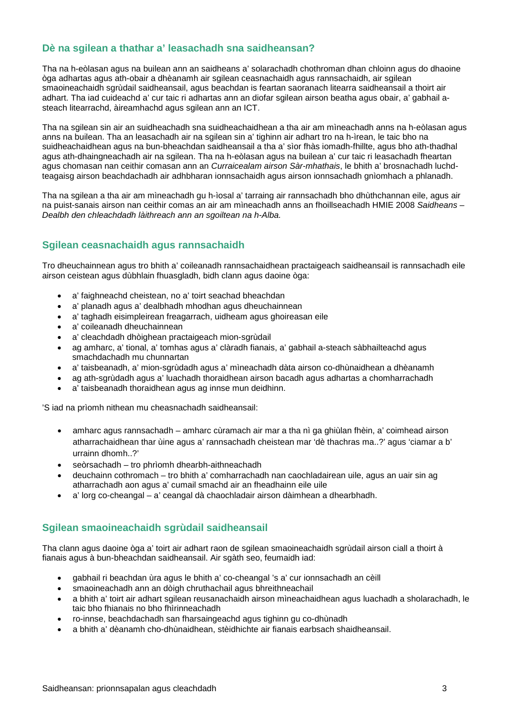#### **Dè na sgilean a thathar a' leasachadh sna saidheansan?**

Tha na h-eòlasan agus na builean ann an saidheans a' solarachadh chothroman dhan chloinn agus do dhaoine òga adhartas agus ath-obair a dhèanamh air sgilean ceasnachaidh agus rannsachaidh, air sgilean smaoineachaidh sgrùdail saidheansail, agus beachdan is feartan saoranach litearra saidheansail a thoirt air adhart. Tha iad cuideachd a' cur taic ri adhartas ann an diofar sgilean airson beatha agus obair, a' gabhail asteach litearrachd, àireamhachd agus sgilean ann an ICT.

Tha na sgilean sin air an suidheachadh sna suidheachaidhean a tha air am mìneachadh anns na h-eòlasan agus anns na builean. Tha an leasachadh air na sgilean sin a' tighinn air adhart tro na h-ìrean, le taic bho na suidheachaidhean agus na bun-bheachdan saidheansail a tha a' sìor fhàs iomadh-fhillte, agus bho ath-thadhal agus ath-dhaingneachadh air na sgilean. Tha na h-eòlasan agus na builean a' cur taic ri leasachadh fheartan agus chomasan nan ceithir comasan ann an *Curraicealam airson Sàr-mhathais*, le bhith a' brosnachadh luchdteagaisg airson beachdachadh air adhbharan ionnsachaidh agus airson ionnsachadh gnìomhach a phlanadh.

Tha na sgilean a tha air am mìneachadh gu h-ìosal a' tarraing air rannsachadh bho dhùthchannan eile, agus air na puist-sanais airson nan ceithir comas an air am mìneachadh anns an fhoillseachadh HMIE 2008 *Saidheans – Dealbh den chleachdadh làithreach ann an sgoiltean na h-Alba.* 

#### **Sgilean ceasnachaidh agus rannsachaidh**

Tro dheuchainnean agus tro bhith a' coileanadh rannsachaidhean practaigeach saidheansail is rannsachadh eile airson ceistean agus dùbhlain fhuasgladh, bidh clann agus daoine òga:

- a' faighneachd cheistean, no a' toirt seachad bheachdan
- a' planadh agus a' dealbhadh mhodhan agus dheuchainnean
- a' taghadh eisimpleirean freagarrach, uidheam agus ghoireasan eile
- a' coileanadh dheuchainnean
- a' cleachdadh dhòighean practaigeach mion-sgrùdail
- ag amharc, a' tional, a' tomhas agus a' clàradh fianais, a' gabhail a-steach sàbhailteachd agus smachdachadh mu chunnartan
- a' taisbeanadh, a' mion-sgrùdadh agus a' mìneachadh dàta airson co-dhùnaidhean a dhèanamh
- ag ath-sgrùdadh agus a' luachadh thoraidhean airson bacadh agus adhartas a chomharrachadh
- a' taisbeanadh thoraidhean agus ag innse mun deidhinn.

'S iad na prìomh nithean mu cheasnachadh saidheansail:

- amharc agus rannsachadh amharc cùramach air mar a tha nì ga ghiùlan fhèin, a' coimhead airson atharrachaidhean thar ùine agus a' rannsachadh cheistean mar 'dè thachras ma..?' agus 'ciamar a b' urrainn dhomh..?'
- seòrsachadh tro phrìomh dhearbh-aithneachadh
- deuchainn cothromach tro bhith a' comharrachadh nan caochladairean uile, agus an uair sin ag atharrachadh aon agus a' cumail smachd air an fheadhainn eile uile
- a' lorg co-cheangal a' ceangal dà chaochladair airson dàimhean a dhearbhadh.

#### **Sgilean smaoineachaidh sgrùdail saidheansail**

Tha clann agus daoine òga a' toirt air adhart raon de sgilean smaoineachaidh sgrùdail airson ciall a thoirt à fianais agus à bun-bheachdan saidheansail. Air sgàth seo, feumaidh iad:

- gabhail ri beachdan ùra agus le bhith a' co-cheangal 's a' cur ionnsachadh an cèill
- smaoineachadh ann an dòigh chruthachail agus bhreithneachail
- a bhith a' toirt air adhart sgilean reusanachaidh airson mìneachaidhean agus luachadh a sholarachadh, le taic bho fhianais no bho fhìrinneachadh
- ro-innse, beachdachadh san fharsaingeachd agus tighinn gu co-dhùnadh
- a bhith a' dèanamh cho-dhùnaidhean, stèidhichte air fianais earbsach shaidheansail.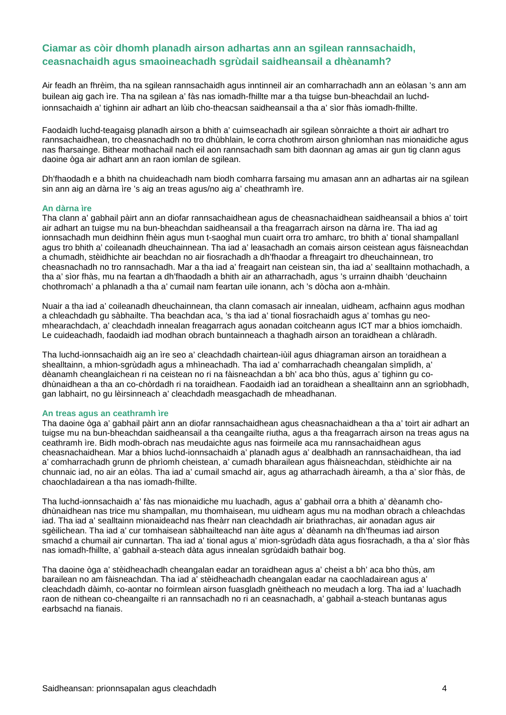#### **Ciamar as còir dhomh planadh airson adhartas ann an sgilean rannsachaidh, ceasnachaidh agus smaoineachadh sgrùdail saidheansail a dhèanamh?**

Air feadh an fhrèim, tha na sgilean rannsachaidh agus inntinneil air an comharrachadh ann an eòlasan 's ann am builean aig gach ìre. Tha na sgilean a' fàs nas iomadh-fhillte mar a tha tuigse bun-bheachdail an luchdionnsachaidh a' tighinn air adhart an lùib cho-theacsan saidheansail a tha a' sìor fhàs iomadh-fhillte.

Faodaidh luchd-teagaisg planadh airson a bhith a' cuimseachadh air sgilean sònraichte a thoirt air adhart tro rannsachaidhean, tro cheasnachadh no tro dhùbhlain, le corra chothrom airson ghnìomhan nas mionaidiche agus nas fharsainge. Bithear mothachail nach eil aon rannsachadh sam bith daonnan ag amas air gun tig clann agus daoine òga air adhart ann an raon iomlan de sgilean.

Dh'fhaodadh e a bhith na chuideachadh nam biodh comharra farsaing mu amasan ann an adhartas air na sgilean sin ann aig an dàrna ìre 's aig an treas agus/no aig a' cheathramh ìre.

#### **An dàrna ìre**

Tha clann a' gabhail pàirt ann an diofar rannsachaidhean agus de cheasnachaidhean saidheansail a bhios a' toirt air adhart an tuigse mu na bun-bheachdan saidheansail a tha freagarrach airson na dàrna ìre. Tha iad ag ionnsachadh mun deidhinn fhèin agus mun t-saoghal mun cuairt orra tro amharc, tro bhith a' tional shampallanl agus tro bhith a' coileanadh dheuchainnean. Tha iad a' leasachadh an comais airson ceistean agus fàisneachdan a chumadh, stèidhichte air beachdan no air fiosrachadh a dh'fhaodar a fhreagairt tro dheuchainnean, tro cheasnachadh no tro rannsachadh. Mar a tha iad a' freagairt nan ceistean sin, tha iad a' sealltainn mothachadh, a tha a' sìor fhàs, mu na feartan a dh'fhaodadh a bhith air an atharrachadh, agus 's urrainn dhaibh 'deuchainn chothromach' a phlanadh a tha a' cumail nam feartan uile ionann, ach 's dòcha aon a-mhàin.

Nuair a tha iad a' coileanadh dheuchainnean, tha clann comasach air innealan, uidheam, acfhainn agus modhan a chleachdadh gu sàbhailte. Tha beachdan aca, 's tha iad a' tional fiosrachaidh agus a' tomhas gu neomhearachdach, a' cleachdadh innealan freagarrach agus aonadan coitcheann agus ICT mar a bhios iomchaidh. Le cuideachadh, faodaidh iad modhan obrach buntainneach a thaghadh airson an toraidhean a chlàradh.

Tha luchd-ionnsachaidh aig an ìre seo a' cleachdadh chairtean-iùil agus dhiagraman airson an toraidhean a shealltainn, a mhion-sgrùdadh agus a mhìneachadh. Tha iad a' comharrachadh cheangalan sìmplidh, a' dèanamh cheanglaichean ri na ceistean no ri na fàisneachdan a bh' aca bho thùs, agus a' tighinn gu codhùnaidhean a tha an co-chòrdadh ri na toraidhean. Faodaidh iad an toraidhean a shealltainn ann an sgrìobhadh, gan labhairt, no gu lèirsinneach a' cleachdadh measgachadh de mheadhanan.

#### **An treas agus an ceathramh ìre**

Tha daoine òga a' gabhail pàirt ann an diofar rannsachaidhean agus cheasnachaidhean a tha a' toirt air adhart an tuigse mu na bun-bheachdan saidheansail a tha ceangailte riutha, agus a tha freagarrach airson na treas agus na ceathramh ìre. Bidh modh-obrach nas meudaichte agus nas foirmeile aca mu rannsachaidhean agus cheasnachaidhean. Mar a bhios luchd-ionnsachaidh a' planadh agus a' dealbhadh an rannsachaidhean, tha iad a' comharrachadh grunn de phrìomh cheistean, a' cumadh bharailean agus fhàisneachdan, stèidhichte air na chunnaic iad, no air an eòlas. Tha iad a' cumail smachd air, agus ag atharrachadh àireamh, a tha a' sìor fhàs, de chaochladairean a tha nas iomadh-fhillte.

Tha luchd-ionnsachaidh a' fàs nas mionaidiche mu luachadh, agus a' gabhail orra a bhith a' dèanamh chodhùnaidhean nas trice mu shampallan, mu thomhaisean, mu uidheam agus mu na modhan obrach a chleachdas iad. Tha iad a' sealltainn mionaideachd nas fheàrr nan cleachdadh air briathrachas, air aonadan agus air sgèilichean. Tha iad a' cur tomhaisean sàbhailteachd nan àite agus a' dèanamh na dh'fheumas iad airson smachd a chumail air cunnartan. Tha iad a' tional agus a' mion-sgrùdadh dàta agus fiosrachadh, a tha a' sìor fhàs nas iomadh-fhillte, a' gabhail a-steach dàta agus innealan sgrùdaidh bathair bog.

Tha daoine òga a' stèidheachadh cheangalan eadar an toraidhean agus a' cheist a bh' aca bho thùs, am barailean no am fàisneachdan. Tha iad a' stèidheachadh cheangalan eadar na caochladairean agus a' cleachdadh dàimh, co-aontar no foirmlean airson fuasgladh gnèitheach no meudach a lorg. Tha iad a' luachadh raon de nithean co-cheangailte ri an rannsachadh no ri an ceasnachadh, a' gabhail a-steach buntanas agus earbsachd na fianais.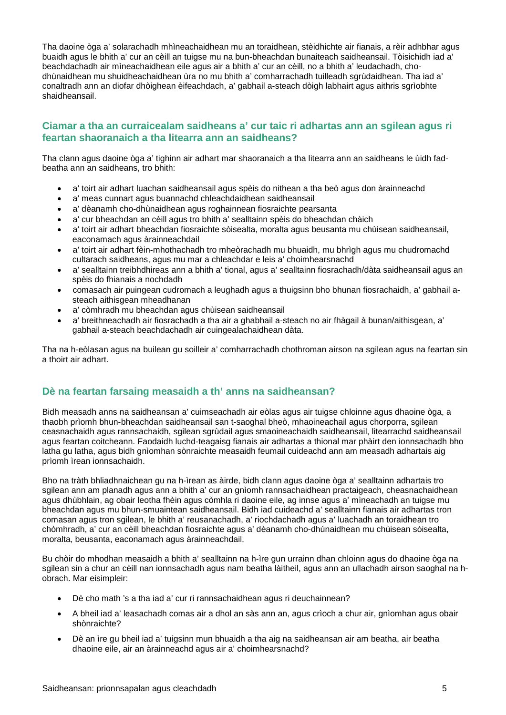Tha daoine òga a' solarachadh mhìneachaidhean mu an toraidhean, stèidhichte air fianais, a rèir adhbhar agus buaidh agus le bhith a' cur an cèill an tuigse mu na bun-bheachdan bunaiteach saidheansail. Tòisichidh iad a' beachdachadh air mìneachaidhean eile agus air a bhith a' cur an cèill, no a bhith a' leudachadh, chodhùnaidhean mu shuidheachaidhean ùra no mu bhith a' comharrachadh tuilleadh sgrùdaidhean. Tha iad a' conaltradh ann an diofar dhòighean èifeachdach, a' gabhail a-steach dòigh labhairt agus aithris sgrìobhte shaidheansail.

#### **Ciamar a tha an curraicealam saidheans a' cur taic ri adhartas ann an sgilean agus ri feartan shaoranaich a tha litearra ann an saidheans?**

Tha clann agus daoine òga a' tighinn air adhart mar shaoranaich a tha litearra ann an saidheans le ùidh fadbeatha ann an saidheans, tro bhith:

- a' toirt air adhart luachan saidheansail agus spèis do nithean a tha beò agus don àrainneachd
- a' meas cunnart agus buannachd chleachdaidhean saidheansail
- a' dèanamh cho-dhùnaidhean agus roghainnean fiosraichte pearsanta
- a' cur bheachdan an cèill agus tro bhith a' sealltainn spèis do bheachdan chàich
- a' toirt air adhart bheachdan fiosraichte sòisealta, moralta agus beusanta mu chùisean saidheansail, eaconamach agus àrainneachdail
- a' toirt air adhart fèin-mhothachadh tro mheòrachadh mu bhuaidh, mu bhrìgh agus mu chudromachd cultarach saidheans, agus mu mar a chleachdar e leis a' choimhearsnachd
- a' sealltainn treibhdhireas ann a bhith a' tional, agus a' sealltainn fiosrachadh/dàta saidheansail agus an spèis do fhianais a nochdadh
- comasach air puingean cudromach a leughadh agus a thuigsinn bho bhunan fiosrachaidh, a' gabhail asteach aithisgean mheadhanan
- a' còmhradh mu bheachdan agus chùisean saidheansail
- a' breithneachadh air fiosrachadh a tha air a ghabhail a-steach no air fhàgail à bunan/aithisgean, a' gabhail a-steach beachdachadh air cuingealachaidhean dàta.

Tha na h-eòlasan agus na builean gu soilleir a' comharrachadh chothroman airson na sgilean agus na feartan sin a thoirt air adhart.

#### **Dè na feartan farsaing measaidh a th' anns na saidheansan?**

Bidh measadh anns na saidheansan a' cuimseachadh air eòlas agus air tuigse chloinne agus dhaoine òga, a thaobh prìomh bhun-bheachdan saidheansail san t-saoghal bheò, mhaoineachail agus chorporra, sgilean ceasnachaidh agus rannsachaidh, sgilean sgrùdail agus smaoineachaidh saidheansail, litearrachd saidheansail agus feartan coitcheann. Faodaidh luchd-teagaisg fianais air adhartas a thional mar phàirt den ionnsachadh bho latha gu latha, agus bidh gnìomhan sònraichte measaidh feumail cuideachd ann am measadh adhartais aig prìomh ìrean ionnsachaidh.

Bho na tràth bhliadhnaichean gu na h-ìrean as àirde, bidh clann agus daoine òga a' sealltainn adhartais tro sgilean ann am planadh agus ann a bhith a' cur an gnìomh rannsachaidhean practaigeach, cheasnachaidhean agus dhùbhlain, ag obair leotha fhèin agus còmhla ri daoine eile, ag innse agus a' mìneachadh an tuigse mu bheachdan agus mu bhun-smuaintean saidheansail. Bidh iad cuideachd a' sealltainn fianais air adhartas tron comasan agus tron sgilean, le bhith a' reusanachadh, a' riochdachadh agus a' luachadh an toraidhean tro chòmhradh, a' cur an cèill bheachdan fiosraichte agus a' dèanamh cho-dhùnaidhean mu chùisean sòisealta, moralta, beusanta, eaconamach agus àrainneachdail.

Bu chòir do mhodhan measaidh a bhith a' sealltainn na h-ìre gun urrainn dhan chloinn agus do dhaoine òga na sgilean sin a chur an cèill nan ionnsachadh agus nam beatha làitheil, agus ann an ullachadh airson saoghal na hobrach. Mar eisimpleir:

- Dè cho math 's a tha iad a' cur ri rannsachaidhean agus ri deuchainnean?
- A bheil iad a' leasachadh comas air a dhol an sàs ann an, agus crìoch a chur air, gnìomhan agus obair shònraichte?
- Dè an ìre gu bheil iad a' tuigsinn mun bhuaidh a tha aig na saidheansan air am beatha, air beatha dhaoine eile, air an àrainneachd agus air a' choimhearsnachd?